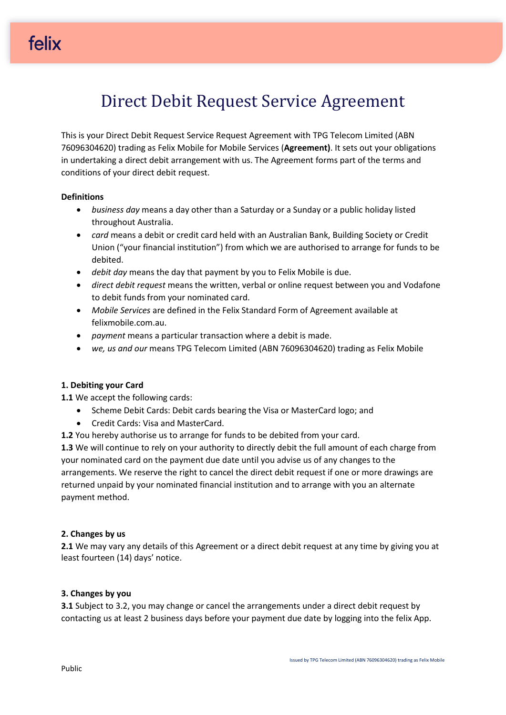# Direct Debit Request Service Agreement

This is your Direct Debit Request Service Request Agreement with TPG Telecom Limited (ABN 76096304620) trading as Felix Mobile for Mobile Services (**Agreement)**. It sets out your obligations in undertaking a direct debit arrangement with us. The Agreement forms part of the terms and conditions of your direct debit request.

### **Definitions**

- *business day* means a day other than a Saturday or a Sunday or a public holiday listed throughout Australia.
- *card* means a debit or credit card held with an Australian Bank, Building Society or Credit Union ("your financial institution") from which we are authorised to arrange for funds to be debited.
- *debit day* means the day that payment by you to Felix Mobile is due.
- *direct debit request* means the written, verbal or online request between you and Vodafone to debit funds from your nominated card.
- *Mobile Services* are defined in the Felix Standard Form of Agreement available at felixmobile.com.au.
- *payment* means a particular transaction where a debit is made.
- *we, us and our* means TPG Telecom Limited (ABN 76096304620) trading as Felix Mobile

### **1. Debiting your Card**

**1.1** We accept the following cards:

- Scheme Debit Cards: Debit cards bearing the Visa or MasterCard logo; and
- Credit Cards: Visa and MasterCard.
- **1.2** You hereby authorise us to arrange for funds to be debited from your card.

**1.3** We will continue to rely on your authority to directly debit the full amount of each charge from your nominated card on the payment due date until you advise us of any changes to the arrangements. We reserve the right to cancel the direct debit request if one or more drawings are returned unpaid by your nominated financial institution and to arrange with you an alternate payment method.

### **2. Changes by us**

**2.1** We may vary any details of this Agreement or a direct debit request at any time by giving you at least fourteen (14) days' notice.

### **3. Changes by you**

**3.1** Subject to 3.2, you may change or cancel the arrangements under a direct debit request by contacting us at least 2 business days before your payment due date by logging into the felix App.